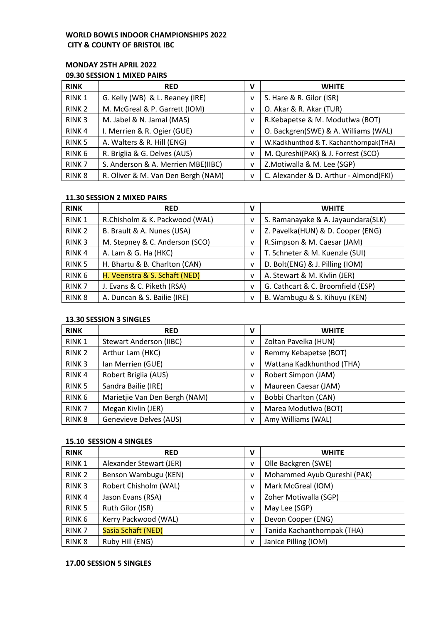#### **WORLD BOWLS INDOOR CHAMPIONSHIPS 2022 CITY & COUNTY OF BRISTOL IBC**

## **MONDAY 25TH APRIL 2022**

#### **09.30 SESSION 1 MIXED PAIRS**

| <b>RINK</b>       | <b>RED</b>                         | v | <b>WHITE</b>                           |
|-------------------|------------------------------------|---|----------------------------------------|
| RINK <sub>1</sub> | G. Kelly (WB) & L. Reaney (IRE)    | v | S. Hare & R. Gilor (ISR)               |
| RINK <sub>2</sub> | M. McGreal & P. Garrett (IOM)      | v | O. Akar & R. Akar (TUR)                |
| RINK <sub>3</sub> | M. Jabel & N. Jamal (MAS)          | v | R.Kebapetse & M. Modutlwa (BOT)        |
| RINK <sub>4</sub> | I. Merrien & R. Ogier (GUE)        | v | O. Backgren(SWE) & A. Williams (WAL)   |
| RINK <sub>5</sub> | A. Walters & R. Hill (ENG)         | v | W.Kadkhunthod & T. Kachanthornpak(THA) |
| RINK <sub>6</sub> | R. Briglia & G. Delves (AUS)       | v | M. Qureshi(PAK) & J. Forrest (SCO)     |
| RINK <sub>7</sub> | S. Anderson & A. Merrien MBE(IIBC) | v | Z.Motiwalla & M. Lee (SGP)             |
| RINK <sub>8</sub> | R. Oliver & M. Van Den Bergh (NAM) | v | C. Alexander & D. Arthur - Almond(FKI) |

#### **11.30 SESSION 2 MIXED PAIRS**

| <b>RINK</b>       | <b>RED</b>                     | v | <b>WHITE</b>                       |
|-------------------|--------------------------------|---|------------------------------------|
| RINK <sub>1</sub> | R.Chisholm & K. Packwood (WAL) | v | S. Ramanayake & A. Jayaundara(SLK) |
| RINK <sub>2</sub> | B. Brault & A. Nunes (USA)     | ٧ | Z. Pavelka(HUN) & D. Cooper (ENG)  |
| RINK <sub>3</sub> | M. Stepney & C. Anderson (SCO) | v | R.Simpson & M. Caesar (JAM)        |
| RINK <sub>4</sub> | A. Lam & G. Ha (HKC)           | ٧ | T. Schneter & M. Kuenzle (SUI)     |
| RINK <sub>5</sub> | H. Bhartu & B. Charlton (CAN)  | v | D. Bolt(ENG) & J. Pilling (IOM)    |
| RINK <sub>6</sub> | H. Veenstra & S. Schaft (NED)  | v | A. Stewart & M. Kivlin (JER)       |
| RINK <sub>7</sub> | J. Evans & C. Piketh (RSA)     | v | G. Cathcart & C. Broomfield (ESP)  |
| RINK <sub>8</sub> | A. Duncan & S. Bailie (IRE)    | v | B. Wambugu & S. Kihuyu (KEN)       |

#### **13.30 SESSION 3 SINGLES**

| <b>RINK</b>       | <b>RED</b>                    | v | <b>WHITE</b>                |
|-------------------|-------------------------------|---|-----------------------------|
| RINK <sub>1</sub> | Stewart Anderson (IIBC)       | v | Zoltan Pavelka (HUN)        |
| RINK <sub>2</sub> | Arthur Lam (HKC)              | v | Remmy Kebapetse (BOT)       |
| RINK <sub>3</sub> | Ian Merrien (GUE)             | v | Wattana Kadkhunthod (THA)   |
| RINK <sub>4</sub> | Robert Briglia (AUS)          | v | Robert Simpon (JAM)         |
| RINK <sub>5</sub> | Sandra Bailie (IRE)           | v | Maureen Caesar (JAM)        |
| RINK <sub>6</sub> | Marietjie Van Den Bergh (NAM) | v | <b>Bobbi Charlton (CAN)</b> |
| RINK <sub>7</sub> | Megan Kivlin (JER)            | v | Marea Modutlwa (BOT)        |
| RINK <sub>8</sub> | <b>Genevieve Delves (AUS)</b> | v | Amy Williams (WAL)          |

#### **15.10 SESSION 4 SINGLES**

| <b>RINK</b>       | <b>RED</b>              | v | <b>WHITE</b>                |
|-------------------|-------------------------|---|-----------------------------|
| RINK <sub>1</sub> | Alexander Stewart (JER) | v | Olle Backgren (SWE)         |
| RINK <sub>2</sub> | Benson Wambugu (KEN)    | v | Mohammed Ayub Qureshi (PAK) |
| RINK <sub>3</sub> | Robert Chisholm (WAL)   | v | Mark McGreal (IOM)          |
| RINK <sub>4</sub> | Jason Evans (RSA)       | v | Zoher Motiwalla (SGP)       |
| RINK <sub>5</sub> | Ruth Gilor (ISR)        | v | May Lee (SGP)               |
| RINK <sub>6</sub> | Kerry Packwood (WAL)    | v | Devon Cooper (ENG)          |
| RINK <sub>7</sub> | Sasia Schaft (NED)      | v | Tanida Kachanthornpak (THA) |
| RINK <sub>8</sub> | Ruby Hill (ENG)         | v | Janice Pilling (IOM)        |

#### **17.00 SESSION 5 SINGLES**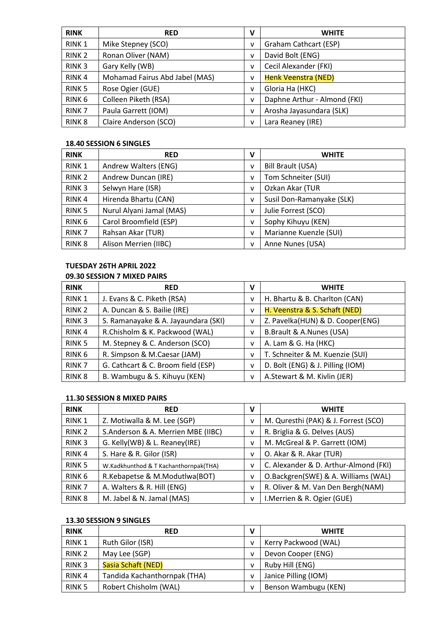| <b>RINK</b>       | <b>RED</b>                     | v | <b>WHITE</b>                 |
|-------------------|--------------------------------|---|------------------------------|
| RINK <sub>1</sub> | Mike Stepney (SCO)             | v | Graham Cathcart (ESP)        |
| RINK <sub>2</sub> | Ronan Oliver (NAM)             | v | David Bolt (ENG)             |
| RINK <sub>3</sub> | Gary Kelly (WB)                | v | Cecil Alexander (FKI)        |
| RINK <sub>4</sub> | Mohamad Fairus Abd Jabel (MAS) | v | Henk Veenstra (NED)          |
| RINK <sub>5</sub> | Rose Ogier (GUE)               | v | Gloria Ha (HKC)              |
| RINK <sub>6</sub> | Colleen Piketh (RSA)           | v | Daphne Arthur - Almond (FKI) |
| RINK <sub>7</sub> | Paula Garrett (IOM)            | v | Arosha Jayasundara (SLK)     |
| RINK <sub>8</sub> | Claire Anderson (SCO)          | v | Lara Reaney (IRE)            |

#### **18.40 SESSION 6 SINGLES**

| <b>RINK</b>       | <b>RED</b>               | v            | <b>WHITE</b>              |
|-------------------|--------------------------|--------------|---------------------------|
| RINK <sub>1</sub> | Andrew Walters (ENG)     | $\mathsf{V}$ | Bill Brault (USA)         |
| RINK <sub>2</sub> | Andrew Duncan (IRE)      | v            | Tom Schneiter (SUI)       |
| RINK <sub>3</sub> | Selwyn Hare (ISR)        | v            | Ozkan Akar (TUR           |
| RINK <sub>4</sub> | Hirenda Bhartu (CAN)     | v            | Susil Don-Ramanyake (SLK) |
| RINK <sub>5</sub> | Nurul Alyani Jamal (MAS) | v            | Julie Forrest (SCO)       |
| RINK <sub>6</sub> | Carol Broomfield (ESP)   | v            | Sophy Kihuyu (KEN)        |
| RINK <sub>7</sub> | Rahsan Akar (TUR)        | $\mathsf{V}$ | Marianne Kuenzle (SUI)    |
| RINK <sub>8</sub> | Alison Merrien (IIBC)    | $\mathsf{V}$ | Anne Nunes (USA)          |

# **TUESDAY 26TH APRIL 2022 09.30 SESSION 7 MIXED PAIRS**

| <b>RINK</b>       | <b>RED</b>                          | v | <b>WHITE</b>                     |
|-------------------|-------------------------------------|---|----------------------------------|
| RINK <sub>1</sub> | J. Evans & C. Piketh (RSA)          | v | H. Bhartu & B. Charlton (CAN)    |
| RINK <sub>2</sub> | A. Duncan & S. Bailie (IRE)         | v | H. Veenstra & S. Schaft (NED)    |
| RINK <sub>3</sub> | S. Ramanayake & A. Jayaundara (SKI) | v | Z. Pavelka(HUN) & D. Cooper(ENG) |
| RINK <sub>4</sub> | R.Chisholm & K. Packwood (WAL)      | v | B.Brault & A.Nunes (USA)         |
| RINK <sub>5</sub> | M. Stepney & C. Anderson (SCO)      | v | A. Lam & G. Ha (HKC)             |
| RINK <sub>6</sub> | R. Simpson & M.Caesar (JAM)         | v | T. Schneiter & M. Kuenzie (SUI)  |
| RINK <sub>7</sub> | G. Cathcart & C. Broom field (ESP)  | v | D. Bolt (ENG) & J. Pilling (IOM) |
| RINK <sub>8</sub> | B. Wambugu & S. Kihuyu (KEN)        | v | A.Stewart & M. Kivlin (JER)      |

#### **11.30 SESSION 8 MIXED PAIRS**

| <b>RINK</b>       | <b>RED</b>                            | v | <b>WHITE</b>                          |
|-------------------|---------------------------------------|---|---------------------------------------|
| RINK <sub>1</sub> | Z. Motiwalla & M. Lee (SGP)           | v | M. Quresthi (PAK) & J. Forrest (SCO)  |
| RINK <sub>2</sub> | S.Anderson & A. Merrien MBE (IIBC)    | v | R. Briglia & G. Delves (AUS)          |
| RINK <sub>3</sub> | G. Kelly(WB) & L. Reaney(IRE)         | v | M. McGreal & P. Garrett (IOM)         |
| RINK <sub>4</sub> | S. Hare & R. Gilor (ISR)              | v | O. Akar & R. Akar (TUR)               |
| RINK <sub>5</sub> | W.Kadkhunthod & T Kachanthornpak(THA) | v | C. Alexander & D. Arthur-Almond (FKI) |
| RINK <sub>6</sub> | R.Kebapetse & M.Modutlwa(BOT)         | v | O.Backgren(SWE) & A. Williams (WAL)   |
| RINK <sub>7</sub> | A. Walters & R. Hill (ENG)            | v | R. Oliver & M. Van Den Bergh(NAM)     |
| RINK <sub>8</sub> | M. Jabel & N. Jamal (MAS)             | v | I.Merrien & R. Ogier (GUE)            |

#### **13.30 SESSION 9 SINGLES**

| <b>RINK</b>       | <b>RED</b>                   | v | <b>WHITE</b>         |
|-------------------|------------------------------|---|----------------------|
| RINK <sub>1</sub> | Ruth Gilor (ISR)             |   | Kerry Packwood (WAL) |
| RINK <sub>2</sub> | May Lee (SGP)                | v | Devon Cooper (ENG)   |
| RINK <sub>3</sub> | Sasia Schaft (NED)           |   | Ruby Hill (ENG)      |
| RINK <sub>4</sub> | Tandida Kachanthornpak (THA) | v | Janice Pilling (IOM) |
| RINK <sub>5</sub> | Robert Chisholm (WAL)        | v | Benson Wambugu (KEN) |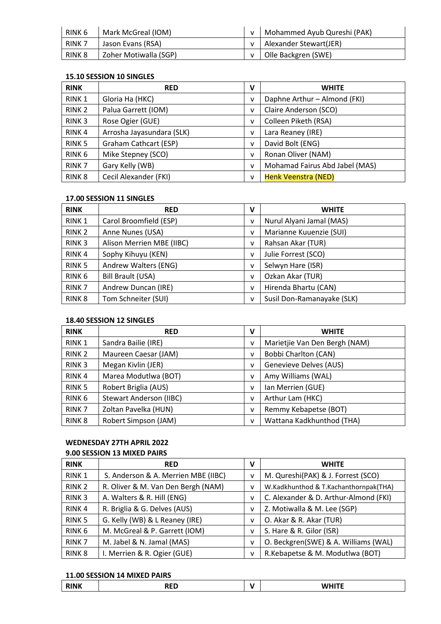| RINK 6            | Mark McGreal (IOM)    | v   Mohammed Ayub Qureshi (PAK) |
|-------------------|-----------------------|---------------------------------|
| RINK <sub>7</sub> | Jason Evans (RSA)     | v   Alexander Stewart(JER)      |
| RINK <sub>8</sub> | Zoher Motiwalla (SGP) | v   Olle Backgren (SWE)         |

#### **15.10 SESSION 10 SINGLES**

| <b>RINK</b>       | <b>RED</b>                | V | <b>WHITE</b>                   |
|-------------------|---------------------------|---|--------------------------------|
| RINK <sub>1</sub> | Gloria Ha (HKC)           | v | Daphne Arthur - Almond (FKI)   |
| RINK <sub>2</sub> | Palua Garrett (IOM)       | v | Claire Anderson (SCO)          |
| RINK <sub>3</sub> | Rose Ogier (GUE)          | v | Colleen Piketh (RSA)           |
| RINK <sub>4</sub> | Arrosha Jayasundara (SLK) | v | Lara Reaney (IRE)              |
| RINK <sub>5</sub> | Graham Cathcart (ESP)     | v | David Bolt (ENG)               |
| RINK <sub>6</sub> | Mike Stepney (SCO)        | v | Ronan Oliver (NAM)             |
| RINK <sub>7</sub> | Gary Kelly (WB)           | v | Mohamad Fairus Abd Jabel (MAS) |
| RINK <sub>8</sub> | Cecil Alexander (FKI)     | v | <b>Henk Veenstra (NED)</b>     |

#### **17.00 SESSION 11 SINGLES**

| <b>RINK</b>       | <b>RED</b>                | ۷ | <b>WHITE</b>               |
|-------------------|---------------------------|---|----------------------------|
| RINK <sub>1</sub> | Carol Broomfield (ESP)    | v | Nurul Alyani Jamal (MAS)   |
| RINK <sub>2</sub> | Anne Nunes (USA)          | v | Marianne Kuuenzie (SUI)    |
| RINK <sub>3</sub> | Alison Merrien MBE (IIBC) | v | Rahsan Akar (TUR)          |
| RINK <sub>4</sub> | Sophy Kihuyu (KEN)        | v | Julie Forrest (SCO)        |
| RINK <sub>5</sub> | Andrew Walters (ENG)      | v | Selwyn Hare (ISR)          |
| RINK <sub>6</sub> | Bill Brault (USA)         | v | Ozkan Akar (TUR)           |
| RINK <sub>7</sub> | Andrew Duncan (IRE)       | v | Hirenda Bhartu (CAN)       |
| RINK <sub>8</sub> | Tom Schneiter (SUI)       | v | Susil Don-Ramanayake (SLK) |

#### **18.40 SESSION 12 SINGLES**

| <b>RINK</b>       | <b>RED</b>              | $\mathsf{v}$ | <b>WHITE</b>                  |
|-------------------|-------------------------|--------------|-------------------------------|
| RINK <sub>1</sub> | Sandra Bailie (IRE)     | v            | Marietjie Van Den Bergh (NAM) |
| RINK <sub>2</sub> | Maureen Caesar (JAM)    | v            | <b>Bobbi Charlton (CAN)</b>   |
| RINK <sub>3</sub> | Megan Kivlin (JER)      | v            | Genevieve Delves (AUS)        |
| RINK <sub>4</sub> | Marea Modutlwa (BOT)    | v            | Amy Williams (WAL)            |
| RINK <sub>5</sub> | Robert Briglia (AUS)    | v            | Ian Merrien (GUE)             |
| RINK <sub>6</sub> | Stewart Anderson (IIBC) | v            | Arthur Lam (HKC)              |
| RINK <sub>7</sub> | Zoltan Pavelka (HUN)    | $\mathsf{v}$ | Remmy Kebapetse (BOT)         |
| RINK <sub>8</sub> | Robert Simpson (JAM)    | v            | Wattana Kadkhunthod (THA)     |

# **WEDNESDAY 27TH APRIL 2022**

# **9.00 SESSION 13 MIXED PAIRS RINK RED V WHITE** RINK 1 S. Anderson & A. Merrien MBE (IIBC)  $\vert \nu \vert$  M. Qureshi(PAK) & J. Forrest (SCO) RINK 2 R. Oliver & M. Van Den Bergh (NAM)  $\vert$  v W. Kadkhunthod & T. Kachanthornpak(THA) RINK 3  $\vert$  A. Walters & R. Hill (ENG)  $\vert$  v  $\vert$  C. Alexander & D. Arthur-Almond (FKI) RINK 4 | R. Briglia & G. Delves (AUS)  $\vert v \vert$  Z. Motiwalla & M. Lee (SGP) RINK 5  $\Big|$  G. Kelly (WB) & L Reaney (IRE)  $\Big|$  v  $\Big|$  O. Akar & R. Akar (TUR) RINK 6 | M. McGreal & P. Garrett (IOM)  $\vert v \vert$  S. Hare & R. Gilor (ISR) RINK 7 | M. Jabel & N. Jamal (MAS) v | O. Beckgren(SWE) & A. Williams (WAL) RINK 8 | I. Merrien & R. Ogier (GUE)  $\vert v \vert$  R. Kebapetse & M. Modutlwa (BOT)

#### **11.00 SESSION 14 MIXED PAIRS**

| <br>. |  |
|-------|--|
|       |  |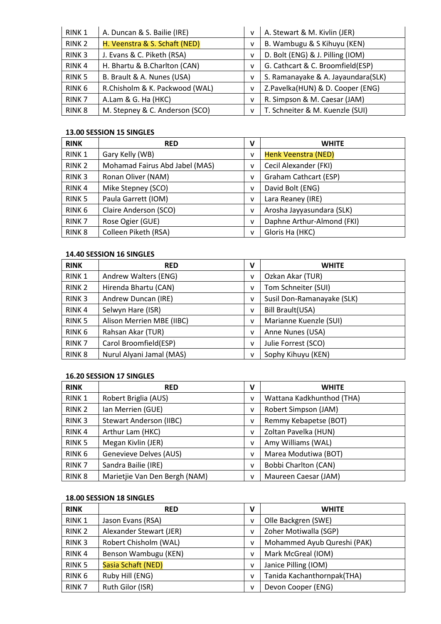| RINK <sub>1</sub> | A. Duncan & S. Bailie (IRE)    | v            | A. Stewart & M. Kivlin (JER)       |
|-------------------|--------------------------------|--------------|------------------------------------|
| RINK <sub>2</sub> | H. Veenstra & S. Schaft (NED)  | v            | B. Wambugu & S Kihuyu (KEN)        |
| RINK <sub>3</sub> | J. Evans & C. Piketh (RSA)     | v            | D. Bolt (ENG) & J. Pilling (IOM)   |
| RINK <sub>4</sub> | H. Bhartu & B.Charlton (CAN)   | v            | G. Cathcart & C. Broomfield(ESP)   |
| RINK <sub>5</sub> | B. Brault & A. Nunes (USA)     | v            | S. Ramanayake & A. Jayaundara(SLK) |
| RINK <sub>6</sub> | R.Chisholm & K. Packwood (WAL) | v            | Z.Pavelka(HUN) & D. Cooper (ENG)   |
| RINK <sub>7</sub> | A.Lam & G. Ha (HKC)            | v            | R. Simpson & M. Caesar (JAM)       |
| <b>RINK 8</b>     | M. Stepney & C. Anderson (SCO) | $\mathsf{v}$ | T. Schneiter & M. Kuenzle (SUI)    |

#### **13.00 SESSION 15 SINGLES**

| <b>RINK</b>       | <b>RED</b>                     | v | <b>WHITE</b>               |
|-------------------|--------------------------------|---|----------------------------|
| RINK <sub>1</sub> | Gary Kelly (WB)                | v | <b>Henk Veenstra (NED)</b> |
| RINK <sub>2</sub> | Mohamad Fairus Abd Jabel (MAS) | v | Cecil Alexander (FKI)      |
| RINK <sub>3</sub> | Ronan Oliver (NAM)             | v | Graham Cathcart (ESP)      |
| RINK <sub>4</sub> | Mike Stepney (SCO)             | v | David Bolt (ENG)           |
| RINK <sub>5</sub> | Paula Garrett (IOM)            | ۷ | Lara Reaney (IRE)          |
| RINK <sub>6</sub> | Claire Anderson (SCO)          | v | Arosha Jayyasundara (SLK)  |
| RINK <sub>7</sub> | Rose Ogier (GUE)               | v | Daphne Arthur-Almond (FKI) |
| RINK <sub>8</sub> | Colleen Piketh (RSA)           | v | Gloris Ha (HKC)            |

#### **14.40 SESSION 16 SINGLES**

| <b>RINK</b>       | <b>RED</b>                | v            | <b>WHITE</b>               |
|-------------------|---------------------------|--------------|----------------------------|
| RINK <sub>1</sub> | Andrew Walters (ENG)      | v            | Ozkan Akar (TUR)           |
| RINK <sub>2</sub> | Hirenda Bhartu (CAN)      | v            | Tom Schneiter (SUI)        |
| RINK <sub>3</sub> | Andrew Duncan (IRE)       | v            | Susil Don-Ramanayake (SLK) |
| RINK <sub>4</sub> | Selwyn Hare (ISR)         | $\mathsf{v}$ | Bill Brault(USA)           |
| RINK <sub>5</sub> | Alison Merrien MBE (IIBC) | $\mathsf{V}$ | Marianne Kuenzle (SUI)     |
| RINK <sub>6</sub> | Rahsan Akar (TUR)         | $\mathsf{V}$ | Anne Nunes (USA)           |
| RINK <sub>7</sub> | Carol Broomfield(ESP)     | v            | Julie Forrest (SCO)        |
| RINK <sub>8</sub> | Nurul Alyani Jamal (MAS)  | v            | Sophy Kihuyu (KEN)         |

#### **16.20 SESSION 17 SINGLES**

| <b>RINK</b>       | <b>RED</b>                     | $\mathbf v$ | <b>WHITE</b>                |
|-------------------|--------------------------------|-------------|-----------------------------|
| RINK <sub>1</sub> | Robert Briglia (AUS)           | v           | Wattana Kadkhunthod (THA)   |
| RINK <sub>2</sub> | Ian Merrien (GUE)              | v           | Robert Simpson (JAM)        |
| RINK <sub>3</sub> | <b>Stewart Anderson (IIBC)</b> | v           | Remmy Kebapetse (BOT)       |
| RINK <sub>4</sub> | Arthur Lam (HKC)               | v           | Zoltan Pavelka (HUN)        |
| RINK <sub>5</sub> | Megan Kivlin (JER)             | v           | Amy Williams (WAL)          |
| RINK <sub>6</sub> | Genevieve Delves (AUS)         | v           | Marea Modutiwa (BOT)        |
| RINK <sub>7</sub> | Sandra Bailie (IRE)            | v           | <b>Bobbi Charlton (CAN)</b> |
| RINK <sub>8</sub> | Marietjie Van Den Bergh (NAM)  | v           | Maureen Caesar (JAM)        |

#### **18.00 SESSION 18 SINGLES**

| <b>RINK</b>       | <b>RED</b>              | $\mathsf{V}$ | <b>WHITE</b>                |
|-------------------|-------------------------|--------------|-----------------------------|
| RINK <sub>1</sub> | Jason Evans (RSA)       | v            | Olle Backgren (SWE)         |
| RINK <sub>2</sub> | Alexander Stewart (JER) | v            | Zoher Motiwalla (SGP)       |
| RINK <sub>3</sub> | Robert Chisholm (WAL)   | v            | Mohammed Ayub Qureshi (PAK) |
| RINK <sub>4</sub> | Benson Wambugu (KEN)    | v            | Mark McGreal (IOM)          |
| RINK <sub>5</sub> | Sasia Schaft (NED)      | v            | Janice Pilling (IOM)        |
| RINK <sub>6</sub> | Ruby Hill (ENG)         | v            | Tanida Kachanthornpak(THA)  |
| RINK <sub>7</sub> | Ruth Gilor (ISR)        | v            | Devon Cooper (ENG)          |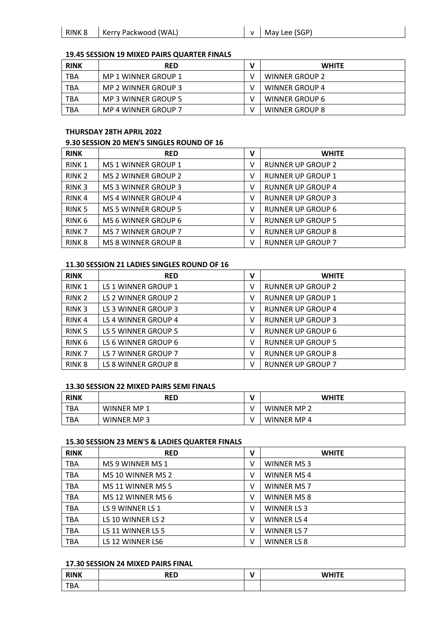| RINK 8 | Kerry Packwood (WAL) |  |
|--------|----------------------|--|
|        |                      |  |

 $\mathsf{v}$  May Lee (SGP)

#### **19.45 SESSION 19 MIXED PAIRS QUARTER FINALS**

| <b>RINK</b> | <b>RED</b>          | <b>WHITE</b>          |
|-------------|---------------------|-----------------------|
| TBA         | MP 1 WINNER GROUP 1 | WINNER GROUP 2        |
| TBA         | MP 2 WINNER GROUP 3 | <b>WINNER GROUP 4</b> |
| TBA         | MP 3 WINNER GROUP 5 | WINNER GROUP 6        |
| <b>TBA</b>  | MP 4 WINNER GROUP 7 | WINNER GROUP 8        |

#### **THURSDAY 28TH APRIL 2022**

#### **9.30 SESSION 20 MEN'S SINGLES ROUND OF 16**

| <b>RINK</b>       | <b>RED</b>                 | v | <b>WHITE</b>             |
|-------------------|----------------------------|---|--------------------------|
| RINK <sub>1</sub> | MS 1 WINNER GROUP 1        | ٧ | <b>RUNNER UP GROUP 2</b> |
| RINK <sub>2</sub> | MS 2 WINNER GROUP 2        | ٧ | <b>RUNNER UP GROUP 1</b> |
| RINK <sub>3</sub> | MS 3 WINNER GROUP 3        | ٧ | <b>RUNNER UP GROUP 4</b> |
| RINK <sub>4</sub> | MS 4 WINNER GROUP 4        | ٧ | <b>RUNNER UP GROUP 3</b> |
| RINK <sub>5</sub> | <b>MS 5 WINNER GROUP 5</b> | v | <b>RUNNER UP GROUP 6</b> |
| RINK <sub>6</sub> | MS 6 WINNER GROUP 6        | v | <b>RUNNER UP GROUP 5</b> |
| RINK <sub>7</sub> | <b>MS 7 WINNER GROUP 7</b> | v | <b>RUNNER UP GROUP 8</b> |
| RINK <sub>8</sub> | MS 8 WINNER GROUP 8        | v | <b>RUNNER UP GROUP 7</b> |

#### **11.30 SESSION 21 LADIES SINGLES ROUND OF 16**

| <b>RINK</b>       | <b>RED</b>          | v | <b>WHITE</b>             |
|-------------------|---------------------|---|--------------------------|
| RINK 1            | LS 1 WINNER GROUP 1 | v | <b>RUNNER UP GROUP 2</b> |
| RINK <sub>2</sub> | LS 2 WINNER GROUP 2 | v | <b>RUNNER UP GROUP 1</b> |
| RINK <sub>3</sub> | LS 3 WINNER GROUP 3 | v | <b>RUNNER UP GROUP 4</b> |
| RINK <sub>4</sub> | LS 4 WINNER GROUP 4 | v | <b>RUNNER UP GROUP 3</b> |
| RINK <sub>5</sub> | LS 5 WINNER GROUP 5 | v | <b>RUNNER UP GROUP 6</b> |
| RINK <sub>6</sub> | LS 6 WINNER GROUP 6 | v | <b>RUNNER UP GROUP 5</b> |
| RINK <sub>7</sub> | LS 7 WINNER GROUP 7 | v | <b>RUNNER UP GROUP 8</b> |
| RINK <sub>8</sub> | LS 8 WINNER GROUP 8 | v | <b>RUNNER UP GROUP 7</b> |

#### **13.30 SESSION 22 MIXED PAIRS SEMI FINALS**

| <b>RINK</b> | <b>RED</b>         | <b>WHITE</b>       |
|-------------|--------------------|--------------------|
| TBA.        | <b>WINNER MP 1</b> | <b>WINNER MP 2</b> |
| <b>TBA</b>  | <b>WINNER MP3</b>  | WINNER MP 4        |

#### **15.30 SESSION 23 MEN'S & LADIES QUARTER FINALS**

| <b>RINK</b> | <b>RED</b>        | ν | <b>WHITE</b>       |
|-------------|-------------------|---|--------------------|
| <b>TBA</b>  | MS 9 WINNER MS 1  | v | WINNER MS 3        |
| <b>TBA</b>  | MS 10 WINNER MS 2 | v | WINNER MS 4        |
| <b>TBA</b>  | MS 11 WINNER MS 5 | v | WINNER MS 7        |
| <b>TBA</b>  | MS 12 WINNER MS 6 | ٧ | WINNER MS 8        |
| <b>TBA</b>  | LS 9 WINNER LS 1  | ٧ | <b>WINNER LS 3</b> |
| <b>TBA</b>  | LS 10 WINNER LS 2 | V | <b>WINNER LS4</b>  |
| <b>TBA</b>  | LS 11 WINNER LS 5 | ٧ | <b>WINNER LS 7</b> |
| <b>TBA</b>  | LS 12 WINNER LS6  | v | <b>WINNER LS 8</b> |

#### **17.30 SESSION 24 MIXED PAIRS FINAL**

| <b>RINK</b> | <b>DED</b><br><b>NED</b> | <b>WHITE</b><br>------- |
|-------------|--------------------------|-------------------------|
| <b>TBA</b>  |                          |                         |